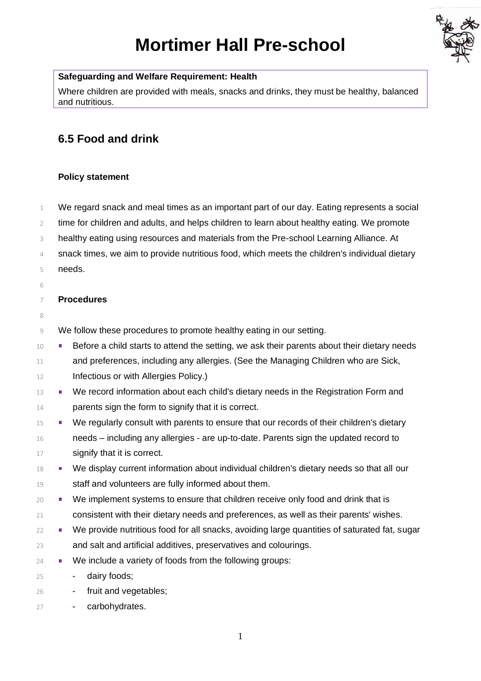# **Mortimer Hall Pre-school**



## **Safeguarding and Welfare Requirement: Health**

Where children are provided with meals, snacks and drinks, they must be healthy, balanced and nutritious.

# **6.5 Food and drink**

## **Policy statement**

1 We regard snack and meal times as an important part of our day. Eating represents a social

- 2 time for children and adults, and helps children to learn about healthy eating. We promote
- 3 healthy eating using resources and materials from the Pre-school Learning Alliance. At
- 4 snack times, we aim to provide nutritious food, which meets the children's individual dietary 5 needs.
- 6

## 7 **Procedures**

8

9 We follow these procedures to promote healthy eating in our setting.

- 10 Before a child starts to attend the setting, we ask their parents about their dietary needs 11 and preferences, including any allergies. (See the Managing Children who are Sick, 12 Infectious or with Allergies Policy.)
- 13 We record information about each child's dietary needs in the Registration Form and 14 **parents sign the form to signify that it is correct.**
- 15 We regularly consult with parents to ensure that our records of their children's dietary 16 needs – including any allergies - are up-to-date. Parents sign the updated record to 17 **signify that it is correct.**
- 18 We display current information about individual children's dietary needs so that all our 19 staff and volunteers are fully informed about them.
- 20 We implement systems to ensure that children receive only food and drink that is 21 consistent with their dietary needs and preferences, as well as their parents' wishes.
- <sup>22</sup> We provide nutritious food for all snacks, avoiding large quantities of saturated fat, sugar 23 and salt and artificial additives, preservatives and colourings.
- **24** We include a variety of foods from the following groups:

25 **-** dairy foods;

- 26 **-** fruit and vegetables;
- 27 **-** carbohydrates.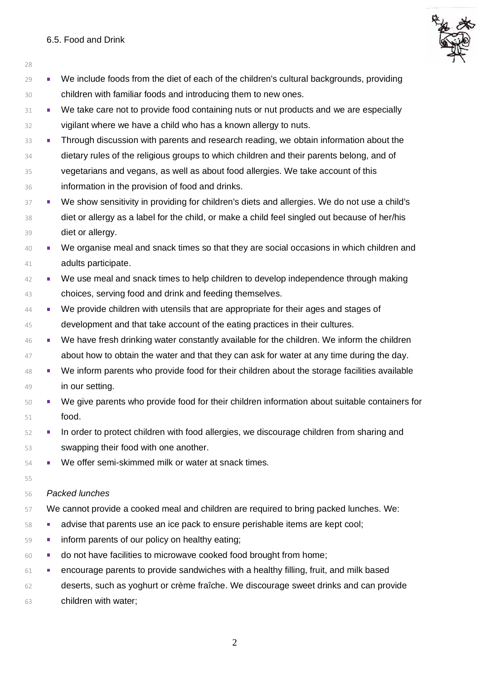6.5. Food and Drink



- We include foods from the diet of each of the children's cultural backgrounds, providing children with familiar foods and introducing them to new ones. We take care not to provide food containing nuts or nut products and we are especially vigilant where we have a child who has a known allergy to nuts. Through discussion with parents and research reading, we obtain information about the 34 dietary rules of the religious groups to which children and their parents belong, and of vegetarians and vegans, as well as about food allergies. We take account of this information in the provision of food and drinks. 37 We show sensitivity in providing for children's diets and allergies. We do not use a child's diet or allergy as a label for the child, or make a child feel singled out because of her/his diet or allergy. 40 We organise meal and snack times so that they are social occasions in which children and adults participate. 42 We use meal and snack times to help children to develop independence through making choices, serving food and drink and feeding themselves. We provide children with utensils that are appropriate for their ages and stages of development and that take account of the eating practices in their cultures. 46 We have fresh drinking water constantly available for the children. We inform the children 47 about how to obtain the water and that they can ask for water at any time during the day. We inform parents who provide food for their children about the storage facilities available in our setting. We give parents who provide food for their children information about suitable containers for food. In order to protect children with food allergies, we discourage children from sharing and swapping their food with one another. 54 We offer semi-skimmed milk or water at snack times. *Packed lunches*
- We cannot provide a cooked meal and children are required to bring packed lunches. We:
- 58 advise that parents use an ice pack to ensure perishable items are kept cool;
- **inform parents of our policy on healthy eating;**
- **do not have facilities to microwave cooked food brought from home;**
- **encourage parents to provide sandwiches with a healthy filling, fruit, and milk based**
- deserts, such as yoghurt or crème fraîche. We discourage sweet drinks and can provide children with water;